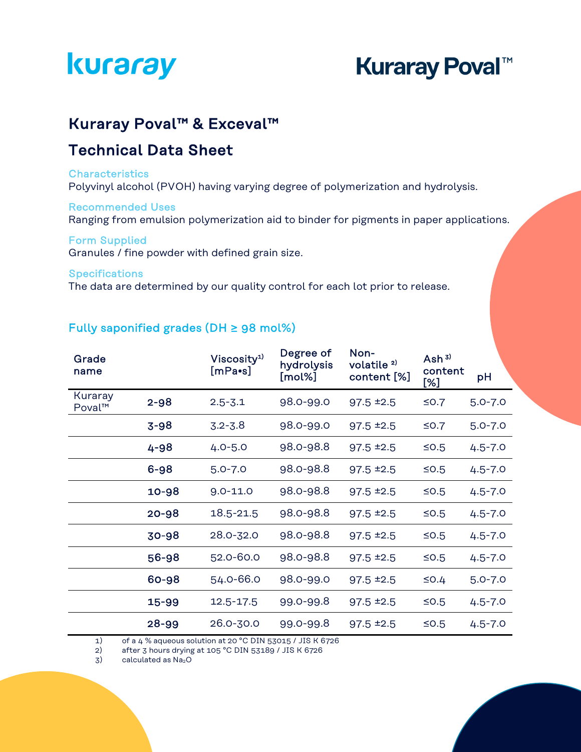# **Kuraray Poval™**

### Kuraray Poval™ & Exceval™

## Technical Data Sheet

#### **Characteristics**

Polyvinyl alcohol (PVOH) having varying degree of polymerization and hydrolysis.

#### Recommended Uses

Ranging from emulsion polymerization aid to binder for pigments in paper applications.

#### Form Supplied

Granules / fine powder with defined grain size.

#### **Specifications**

The data are determined by our quality control for each lot prior to release.

#### Fully saponified grades (DH  $\geq$  98 mol%)

| Grade<br>name     |          | Viscosity <sup>1)</sup><br>$[$ mPa•s $]$ | Degree of<br>hydrolysis<br>[mol%] | Non-<br>volatile <sup>2)</sup><br>content [%] | Ash $3)$<br>content<br>[%] | рH          |
|-------------------|----------|------------------------------------------|-----------------------------------|-----------------------------------------------|----------------------------|-------------|
| Kuraray<br>Poval™ | $2 - 98$ | $2.5 - 3.1$                              | 98.0-99.0                         | $97.5$ $±2.5$                                 | ≤0.7                       | $5.0 - 7.0$ |
|                   | $3 - 98$ | $3.2 - 3.8$                              | 98.0-99.0                         | $97.5$ $±2.5$                                 | ≤0.7                       | $5.0 - 7.0$ |
|                   | 4-98     | $4.0 - 5.0$                              | 98.0-98.8                         | $97.5 = 2.5$                                  | $≤0.5$                     | $4.5 - 7.0$ |
|                   | $6 - 98$ | $5.0 - 7.0$                              | 98.0-98.8                         | $97.5 = 2.5$                                  | $≤0.5$                     | $4.5 - 7.0$ |
|                   | 10-98    | $9.0 - 11.0$                             | 98.0-98.8                         | $97.5$ $±2.5$                                 | $≤0.5$                     | $4.5 - 7.0$ |
|                   | 20-98    | 18.5-21.5                                | 98.0-98.8                         | $97.5$ $±2.5$                                 | $≤0.5$                     | $4.5 - 7.0$ |
|                   | 30-98    | 28.0-32.0                                | 98.0-98.8                         | $97.5$ $±2.5$                                 | $≤$ 0.5                    | $4.5 - 7.0$ |
|                   | 56-98    | 52.0-60.0                                | 98.0-98.8                         | $97.5$ $±2.5$                                 | $≤0.5$                     | $4.5 - 7.0$ |
|                   | 60-98    | 54.0-66.0                                | 98.0-99.0                         | $97.5$ $±2.5$                                 | $\leq$ 0.4                 | $5.0 - 7.0$ |
|                   | 15-99    | $12.5 - 17.5$                            | 99.0-99.8                         | $97.5$ $±2.5$                                 | $≤0.5$                     | $4.5 - 7.0$ |
|                   | 28-99    | 26.0-30.0                                | 99.0-99.8                         | $97.5$ $±2.5$                                 | $≤$ 0.5                    | $4.5 - 7.0$ |

1) of a 4 % aqueous solution at 20 °C DIN 53015 / JIS K 6726

2) after 3 hours drying at 105 °C DIN 53189 / JIS K 6726

 $3)$  calculated as  $Na<sub>2</sub>O$ 

í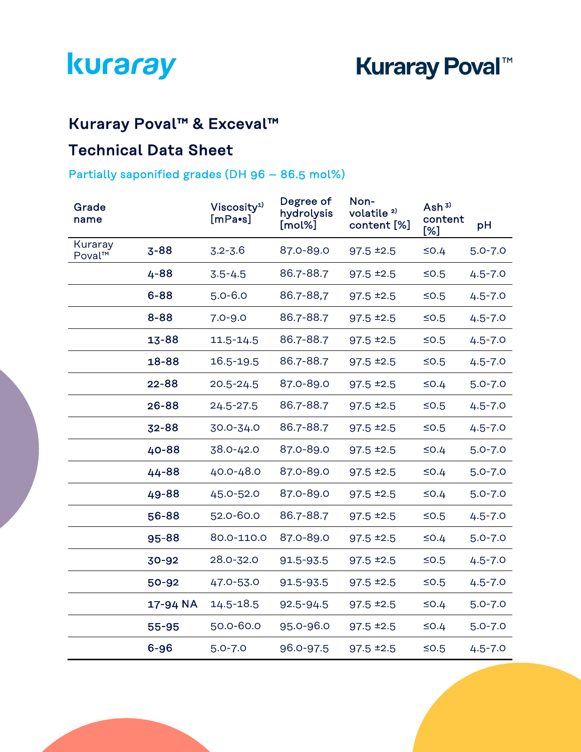# Kuraray Poval™ & Exceval™

## Technical Data Sheet

### Partially saponified grades (DH 96 – 86.5 mol%)

| Grade<br>name     |           | Viscosity <sup>1)</sup><br>$[mPa\bullet s]$ | Degree of<br>hydrolysis<br>[mol%] | Non-<br>volatile <sup>2)</sup><br>content [%] | Ash $3)$<br>content<br>[%] | pH          |
|-------------------|-----------|---------------------------------------------|-----------------------------------|-----------------------------------------------|----------------------------|-------------|
| Kuraray<br>Poval™ | $3 - 88$  | $3.2 - 3.6$                                 | 87.0-89.0                         | $97.5$ $±2.5$                                 | $\leq$ 0.4                 | $5.0 - 7.0$ |
|                   | 4-88      | $3.5 - 4.5$                                 | 86.7-88.7                         | $97.5$ $±2.5$                                 | $≤0.5$                     | $4.5 - 7.0$ |
|                   | $6 - 88$  | $5.0 - 6.0$                                 | 86.7-88,7                         | $97.5$ $±2.5$                                 | $≤0.5$                     | $4.5 - 7.0$ |
|                   | 8-88      | $7.0 - 9.0$                                 | 86.7-88.7                         | $97.5 = 2.5$                                  | $≤0.5$                     | $4.5 - 7.0$ |
|                   | 13-88     | 11.5-14.5                                   | 86.7-88.7                         | $97.5$ $±2.5$                                 | $≤0.5$                     | $4.5 - 7.0$ |
|                   | 18-88     | 16.5-19.5                                   | 86.7-88.7                         | $97.5$ $±2.5$                                 | $≤0.5$                     | $4.5 - 7.0$ |
|                   | $22 - 88$ | $20.5 - 24.5$                               | 87.0-89.0                         | $97.5 \pm 2.5$                                | $\leq$ 0.4                 | $5.0 - 7.0$ |
|                   | 26-88     | $24.5 - 27.5$                               | 86.7-88.7                         | $97.5$ $±2.5$                                 | $≤0.5$                     | $4.5 - 7.0$ |
|                   | 32-88     | 30.0-34.0                                   | 86.7-88.7                         | $97.5$ $±2.5$                                 | $≤0.5$                     | $4.5 - 7.0$ |
|                   | 40-88     | 38.0-42.0                                   | 87.0-89.0                         | $97.5$ $±2.5$                                 | $\leq$ 0.4                 | $5.0 - 7.0$ |
|                   | 44-88     | 40.0-48.0                                   | 87.0-89.0                         | $97.5 = 2.5$                                  | $\leq$ 0.4                 | $5.0 - 7.0$ |
|                   | 49-88     | 45.0-52.0                                   | 87.0-89.0                         | $97.5$ $±2.5$                                 | $\leq$ 0.4                 | $5.0 - 7.0$ |
|                   | 56-88     | 52.0-60.0                                   | 86.7-88.7                         | $97.5 = 2.5$                                  | $≤0.5$                     | $4.5 - 7.0$ |
|                   | 95-88     | 80.0-110.0                                  | 87.0-89.0                         | $97.5$ $±2.5$                                 | $\leq$ 0.4                 | $5.0 - 7.0$ |
|                   | 30-92     | 28.0-32.0                                   | 91.5-93.5                         | $97.5 = 2.5$                                  | $≤0.5$                     | $4.5 - 7.0$ |
|                   | 50-92     | 47.0-53.0                                   | 91.5-93.5                         | $97.5 = 2.5$                                  | $≤0.5$                     | $4.5 - 7.0$ |
|                   | 17-94 NA  | 14.5-18.5                                   | 92.5-94.5                         | $97.5$ $±2.5$                                 | $\leq$ 0.4                 | $5.0 - 7.0$ |
|                   | 55-95     | 50.0-60.0                                   | 95.0-96.0                         | $97.5$ $±2.5$                                 | $\leq$ 0.4                 | $5.0 - 7.0$ |
|                   | $6 - 96$  | $5.0 - 7.0$                                 | 96.0-97.5                         | $97.5$ $±2.5$                                 | $≤0.5$                     | $4.5 - 7.0$ |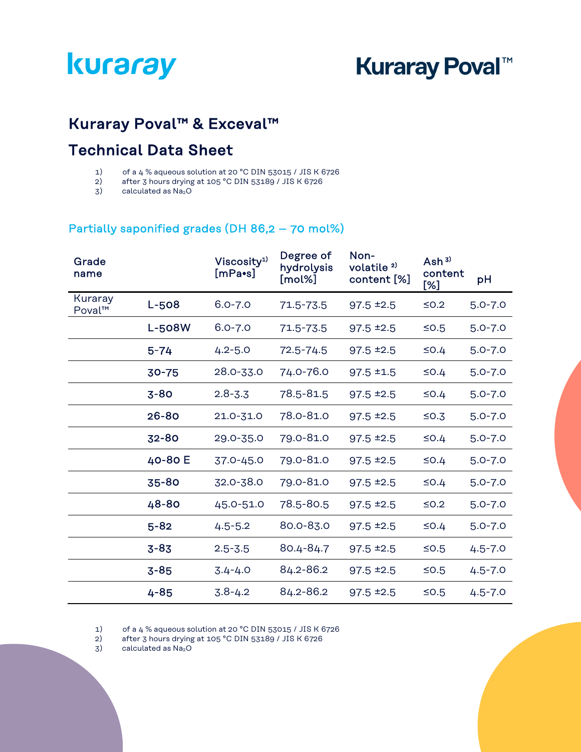# **Kuraray Poval™**

# Kuraray Poval™ & Exceval™

## Technical Data Sheet

- 1) of a 4 % aqueous solution at 20 °C DIN 53015 / JIS K 6726
- 2) after 3 hours drying at 105 °C DIN 53189 / JIS K 6726
- 3) calculated as Na<sub>2</sub>O

#### Partially saponified grades (DH 86,2 – 70 mol%)

| Grade<br>name     |               | Viscosity <sup>1)</sup><br>$[mPa\bullet s]$ | Degree of<br>hydrolysis<br>[mol%] | Non-<br>volatile <sup>2)</sup><br>content [%] | Ash $3)$<br>content<br>[%] | pH          |
|-------------------|---------------|---------------------------------------------|-----------------------------------|-----------------------------------------------|----------------------------|-------------|
| Kuraray<br>Poval™ | L-508         | $6.0 - 7.0$                                 | 71.5-73.5                         | $97.5$ $±2.5$                                 | $≤0.2$                     | $5.0 - 7.0$ |
|                   | <b>L-508W</b> | $6.0 - 7.0$                                 | 71.5-73.5                         | $97.5 \pm 2.5$                                | $≤0.5$                     | $5.0 - 7.0$ |
|                   | $5 - 74$      | $4.2 - 5.0$                                 | $72.5 - 74.5$                     | $97.5 = 2.5$                                  | $\leq$ 0.4                 | $5.0 - 7.0$ |
|                   | $30 - 75$     | 28.0-33.0                                   | 74.0-76.0                         | $97.5 \pm 1.5$                                | $\leq$ 0.4                 | $5.0 - 7.0$ |
|                   | $3-80$        | $2.8 - 3.3$                                 | 78.5-81.5                         | $97.5$ $±2.5$                                 | $\leq$ 0.4                 | $5.0 - 7.0$ |
|                   | 26-80         | 21.0-31.0                                   | 78.0-81.0                         | $97.5 = 2.5$                                  | $\leq$ 0.3                 | $5.0 - 7.0$ |
|                   | 32-80         | 29.0-35.0                                   | 79.0-81.0                         | $97.5$ $±2.5$                                 | $\leq$ 0.4                 | $5.0 - 7.0$ |
|                   | 40-80 E       | 37.0-45.0                                   | 79.0-81.0                         | $97.5 = 2.5$                                  | $\leq$ 0.4                 | $5.0 - 7.0$ |
|                   | 35-80         | 32.0-38.0                                   | 79.0-81.0                         | $97.5 = 2.5$                                  | $\leq$ 0.4                 | $5.0 - 7.0$ |
|                   | 48-80         | 45.0-51.0                                   | 78.5-80.5                         | $97.5 = 2.5$                                  | $≤0.2$                     | $5.0 - 7.0$ |
|                   | $5 - 82$      | $4.5 - 5.2$                                 | 80.0-83.0                         | $97.5 = 2.5$                                  | $\leq$ 0.4                 | $5.0 - 7.0$ |
|                   | $3 - 83$      | $2.5 - 3.5$                                 | 80.4-84.7                         | $97.5 = 2.5$                                  | $≤0.5$                     | $4.5 - 7.0$ |
|                   | $3 - 85$      | $3.4 - 4.0$                                 | 84.2-86.2                         | $97.5 = 2.5$                                  | $≤0.5$                     | $4.5 - 7.0$ |
|                   | $4 - 85$      | $3.8 - 4.2$                                 | 84.2-86.2                         | $97.5 = 2.5$                                  | $≤0.5$                     | $4.5 - 7.0$ |

1) of a 4 % aqueous solution at 20 °C DIN 53015 / JIS K 6726

2) after 3 hours drying at  $105^{\circ}$ C DIN 53189 / JIS K 6726<br>3) calculated as  $Na<sub>2</sub>O$ 

calculated as Na<sub>2</sub>O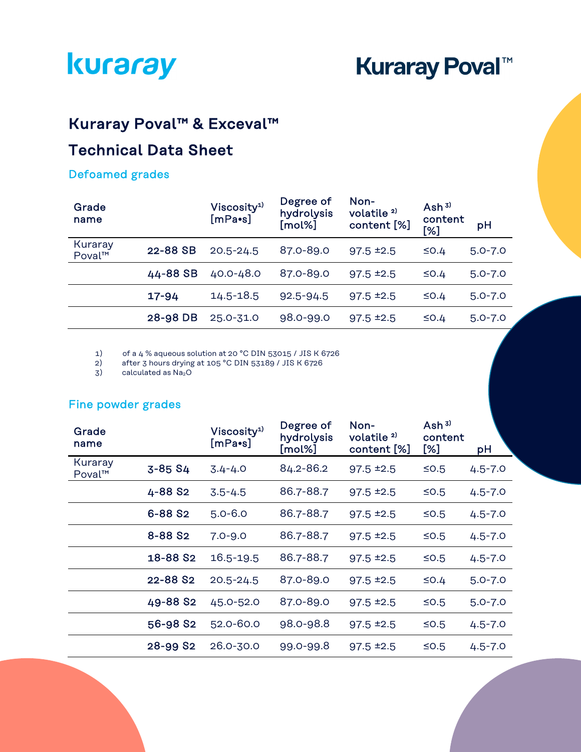**Kuraray Poval™** 

# Kuraray Poval™ & Exceval™

# Technical Data Sheet

#### Defoamed grades

| Grade<br>name     |          | Viscosity <sup>1)</sup><br>$[mPa\bullet s]$ | Degree of<br>hydrolysis<br>[mol%] | Non-<br>volatile <sup>2)</sup><br>content [%] | Ash $3)$<br>content<br>[%] | pH          |
|-------------------|----------|---------------------------------------------|-----------------------------------|-----------------------------------------------|----------------------------|-------------|
| Kuraray<br>Poval™ | 22-88 SB | $20.5 - 24.5$                               | 87.0-89.0                         | $97.5 \pm 2.5$                                | $\leq$ 0.4                 | $5.0 - 7.0$ |
|                   | 44-88 SB | 40.0-48.0                                   | 87.0-89.0                         | $97.5 \pm 2.5$                                | $\leq$ 0.4                 | $5.0 - 7.0$ |
|                   | 17-94    | 14.5-18.5                                   | $92.5 - 94.5$                     | $97.5 \pm 2.5$                                | $\leq$ 0.4                 | $5.0 - 7.0$ |
|                   | 28-98 DB | 25.0-31.0                                   | 98.0-99.0                         | $97.5 \pm 2.5$                                | $\leq$ 0.4                 | $5.0 - 7.0$ |

1) of a 4 % aqueous solution at 20 °C DIN 53015 / JIS K 6726

2) after 3 hours drying at 105 °C DIN 53189 / JIS K 6726

 $3)$  calculated as  $Na<sub>2</sub>O$ 

#### Fine powder grades

| Grade<br>name     |                      | Viscosity <sup>1)</sup><br>[mPa•s] | Degree of<br>hydrolysis<br>[mol%] | Non-<br>volatile <sup>2)</sup><br>content [%] | Ash $3)$<br>content<br>[%] | pH          |
|-------------------|----------------------|------------------------------------|-----------------------------------|-----------------------------------------------|----------------------------|-------------|
| Kuraray<br>Poval™ | 3-85 S4              | $3.4 - 4.0$                        | 84.2-86.2                         | $97.5 \pm 2.5$                                | $≤0.5$                     | $4.5 - 7.0$ |
|                   | 4-88 S <sub>2</sub>  | $3.5 - 4.5$                        | 86.7-88.7                         | $97.5$ $±2.5$                                 | $≤0.5$                     | $4.5 - 7.0$ |
|                   | 6-88 S <sub>2</sub>  | $5.0 - 6.0$                        | 86.7-88.7                         | $97.5 \pm 2.5$                                | $≤0.5$                     | $4.5 - 7.0$ |
|                   | 8-88 S <sub>2</sub>  | $7.0 - 9.0$                        | 86.7-88.7                         | $97.5 \pm 2.5$                                | $≤0.5$                     | $4.5 - 7.0$ |
|                   | 18-88 S <sub>2</sub> | 16.5-19.5                          | 86.7-88.7                         | $97.5 \pm 2.5$                                | $≤0.5$                     | $4.5 - 7.0$ |
|                   | 22-88 S2             | $20.5 - 24.5$                      | 87.0-89.0                         | $97.5 \pm 2.5$                                | $\leq$ 0.4                 | $5.0 - 7.0$ |
|                   | 49-88 S <sub>2</sub> | 45.0-52.0                          | 87.0-89.0                         | $97.5 \pm 2.5$                                | $≤0.5$                     | $5.0 - 7.0$ |
|                   | 56-98 S2             | 52.0-60.0                          | 98.0-98.8                         | $97.5 \pm 2.5$                                | $≤0.5$                     | $4.5 - 7.0$ |
|                   | 28-99 S2             | 26.0-30.0                          | 99.0-99.8                         | $97.5 \pm 2.5$                                | $≤0.5$                     | $4.5 - 7.0$ |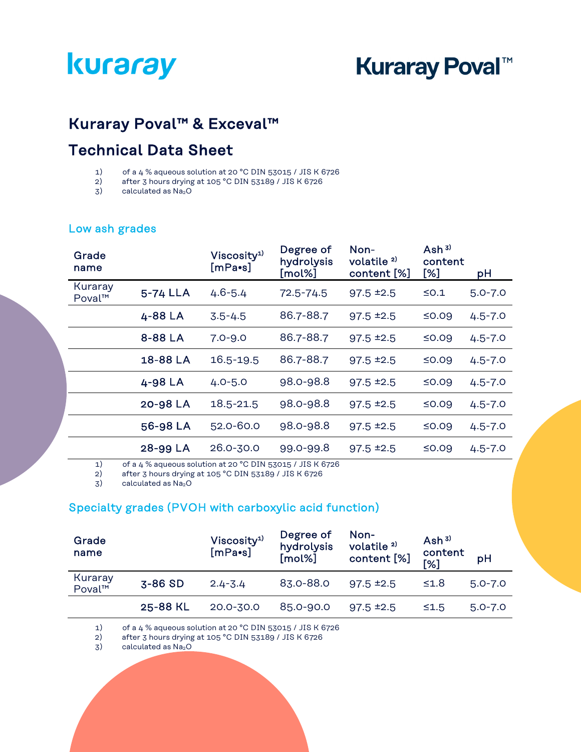# **Kuraray Poval™**

## Kuraray Poval™ & Exceval™

## Technical Data Sheet

- 1) of a 4 % aqueous solution at 20 °C DIN 53015 / JIS K 6726
- 2) after 3 hours drying at 105 °C DIN 53189 / JIS K 6726
- 3) calculated as Na<sub>2</sub>O

| Grade<br>name     |          | Viscosity <sup>1)</sup><br>[mPa•s] | Degree of<br>hydrolysis<br>[mol%] | Non-<br>volatile <sup>2)</sup><br>content [%] | Ash $3)$<br>content<br>[%] | pH          |
|-------------------|----------|------------------------------------|-----------------------------------|-----------------------------------------------|----------------------------|-------------|
| Kuraray<br>Poval™ | 5-74 LLA | $4.6 - 5.4$                        | $72.5 - 74.5$                     | $97.5 \pm 2.5$                                | $\leq$ 0.1                 | $5.0 - 7.0$ |
|                   | 4-88 LA  | $3.5 - 4.5$                        | 86.7-88.7                         | $97.5 \pm 2.5$                                | ≤0.09                      | $4.5 - 7.0$ |
|                   | 8-88 LA  | $7.0 - 9.0$                        | 86.7-88.7                         | $97.5 \pm 2.5$                                | ≤0.09                      | $4.5 - 7.0$ |
|                   | 18-88 LA | 16.5-19.5                          | 86.7-88.7                         | $97.5 \pm 2.5$                                | ≤0.09                      | $4.5 - 7.0$ |
|                   | 4-98 LA  | $4.0 - 5.0$                        | 98.0-98.8                         | $97.5 \pm 2.5$                                | ≤0.09                      | $4.5 - 7.0$ |
|                   | 20-98 LA | 18.5-21.5                          | 98.0-98.8                         | $97.5 \pm 2.5$                                | ≤0.09                      | $4.5 - 7.0$ |
|                   | 56-98 LA | 52.0-60.0                          | 98.0-98.8                         | $97.5 \pm 2.5$                                | ≤0.09                      | $4.5 - 7.0$ |
|                   | 28-99 LA | $26.0 - 30.0$                      | 99.0-99.8                         | $97.5 \pm 2.5$                                | $≤0.09$                    | $4.5 - 7.0$ |

#### Low ash grades

1) of a 4 % aqueous solution at 20 °C DIN 53015 / JIS K 6726

2) after 3 hours drying at 105 °C DIN 53189 / JIS K 6726

 $3)$  calculated as  $Na<sub>2</sub>O$ 

#### Specialty grades (PVOH with carboxylic acid function)

| Grade<br>name     |          | Viscosity <sup>1)</sup><br>$[mPa\bullet s]$ | Degree of<br>hydrolysis<br>[mol%] | Non-<br>volatile <sup>2)</sup><br>content [%] | Ash $3)$<br>content<br>[%] | pH          |
|-------------------|----------|---------------------------------------------|-----------------------------------|-----------------------------------------------|----------------------------|-------------|
| Kuraray<br>Poval™ | $3-86SD$ | $2.4 - 3.4$                                 | 83.0-88.0                         | $97.5 \pm 2.5$                                | $\leq 1.8$                 | $5.0 - 7.0$ |
|                   | 25-88 KL | 20.0-30.0                                   | 85.0-90.0                         | $97.5 \pm 2.5$                                | $\leq 1.5$                 | $5.0 - 7.0$ |

1) of a 4 % aqueous solution at 20 °C DIN 53015 / JIS K 6726<br>2) after 3 hours drying at 105 °C DIN 53189 / JIS K 6726

2) after 3 hours drying at 105 °C DIN 53189 / JIS K 6726<br>3) calculated as  $Na<sub>2</sub>O$ 

calculated as Na<sub>2</sub>O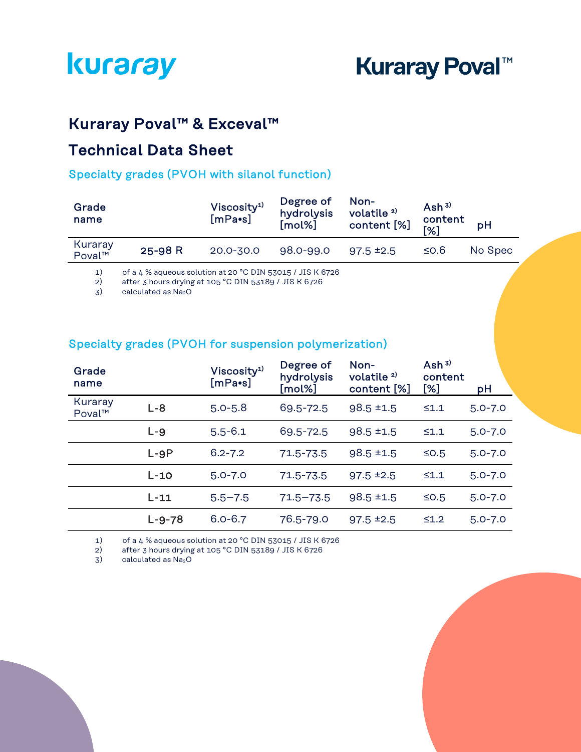# Kuraray Poval™ & Exceval™

## Technical Data Sheet

#### Specialty grades (PVOH with silanol function)

| Grade<br>name     |                                                           | Viscosity <sup>1</sup><br>$[mPa\bullet s]$ | Degree of<br>hydrolysis<br>[mol%] | Non-<br>volatile <sup>2)</sup><br>content [%] | Ash $3)$<br>content<br>[%] | pH      |
|-------------------|-----------------------------------------------------------|--------------------------------------------|-----------------------------------|-----------------------------------------------|----------------------------|---------|
| Kuraray<br>Poval™ | 25-98 R                                                   | $20.0 - 30.0$                              | $98.0 - 99.0$                     | $97.5 \pm 2.5$                                | $≤$ 0.6                    | No Spec |
| 1)                | of a 4 % aqueous solution at 20 °C DIN 53015 / JIS K 6726 |                                            |                                   |                                               |                            |         |

2) after 3 hours drying at 105 °C DIN 53189 / JIS K 6726

3) calculated as Na<sub>2</sub>O

#### Specialty grades (PVOH for suspension polymerization)

| Grade<br>name     |              | Viscosity <sup>1)</sup><br>$[mPa\bullet s]$ | Degree of<br>hydrolysis<br>[mol%] | Non-<br>volatile <sup>2)</sup><br>content [%] | Ash $3)$<br>content<br>[%] | pH          |
|-------------------|--------------|---------------------------------------------|-----------------------------------|-----------------------------------------------|----------------------------|-------------|
| Kuraray<br>Poval™ | $L - 8$      | $5.0 - 5.8$                                 | 69.5-72.5                         | $98.5 \pm 1.5$                                | $\leq 1.1$                 | $5.0 - 7.0$ |
|                   | $L - 9$      | $5.5 - 6.1$                                 | 69.5-72.5                         | $98.5 \pm 1.5$                                | $\leq 1.1$                 | $5.0 - 7.0$ |
|                   | $L-9P$       | $6.2 - 7.2$                                 | 71.5-73.5                         | $98.5 \pm 1.5$                                | $\leq$ 0.5                 | $5.0 - 7.0$ |
|                   | $L-10$       | $5.0 - 7.0$                                 | 71.5-73.5                         | $97.5 \pm 2.5$                                | $\leq 1.1$                 | $5.0 - 7.0$ |
|                   | $L-11$       | $5.5 - 7.5$                                 | $71.5 - 73.5$                     | $98.5 \pm 1.5$                                | $\leq$ 0.5                 | $5.0 - 7.0$ |
|                   | $L - 9 - 78$ | $6.0 - 6.7$                                 | 76.5-79.0                         | $97.5 \pm 2.5$                                | $\leq 1.2$                 | $5.0 - 7.0$ |

1) of a 4 % aqueous solution at 20 °C DIN 53015 / JIS K 6726<br>2) after 3 hours drying at 105 °C DIN 53189 / JIS K 6726

2) after 3 hours drying at 105 °C DIN 53189 / JIS K 6726

3) calculated as Na<sub>2</sub>O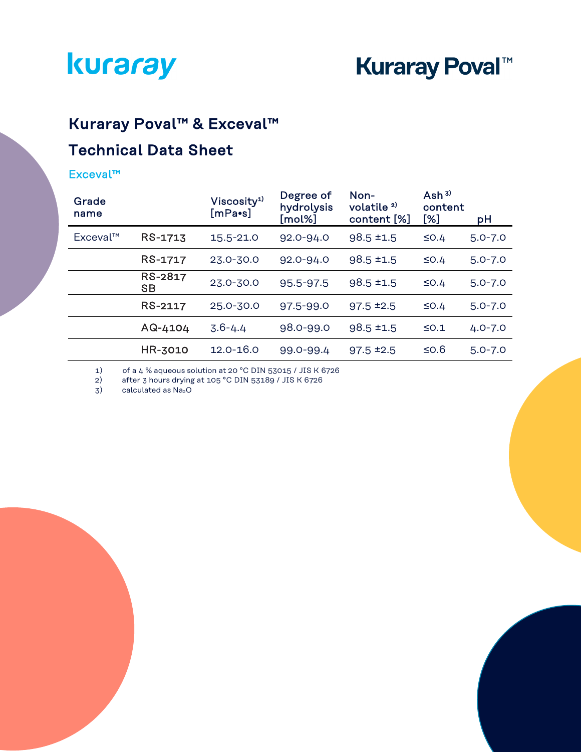

# Kuraray Poval™ & Exceval™

# Technical Data Sheet

#### Exceval™

| Grade<br>name |                      | Viscosity <sup>1)</sup><br>[mPa•s] | Degree of<br>hydrolysis<br>[mol%] | Non-<br>volatile <sup>2)</sup><br>content [%] | Ash $3)$<br>content<br>[%] | рH          |
|---------------|----------------------|------------------------------------|-----------------------------------|-----------------------------------------------|----------------------------|-------------|
| Exceval™      | RS-1713              | 15.5-21.0                          | $92.0 - 94.0$                     | $98.5 \pm 1.5$                                | $\leq$ 0.4                 | $5.0 - 7.0$ |
|               | RS-1717              | 23.0-30.0                          | 92.0-94.0                         | $98.5 \pm 1.5$                                | $\leq$ 0.4                 | $5.0 - 7.0$ |
|               | RS-2817<br><b>SB</b> | 23.0-30.0                          | 95.5-97.5                         | $98.5 \pm 1.5$                                | $\leq$ 0.4                 | $5.0 - 7.0$ |
|               | RS-2117              | 25.0-30.0                          | 97.5-99.0                         | $97.5 \pm 2.5$                                | $\leq$ 0.4                 | $5.0 - 7.0$ |
|               | AQ-4104              | $3.6 - 4.4$                        | 98.0-99.0                         | $98.5 \pm 1.5$                                | $\leq$ 0.1                 | $4.0 - 7.0$ |
|               | HR-3010              | $12.0 - 16.0$                      | 99.0-99.4                         | $97.5 \pm 2.5$                                | $≤$ 0.6                    | $5.0 - 7.0$ |

1) of a 4 % aqueous solution at 20 °C DIN 53015 / JIS K 6726

2) after 3 hours drying at  $105^{\circ}$ C DIN 53189 / JIS K 6726<br>3) calculated as  $Na<sub>2</sub>O$ 

calculated as Na<sub>2</sub>O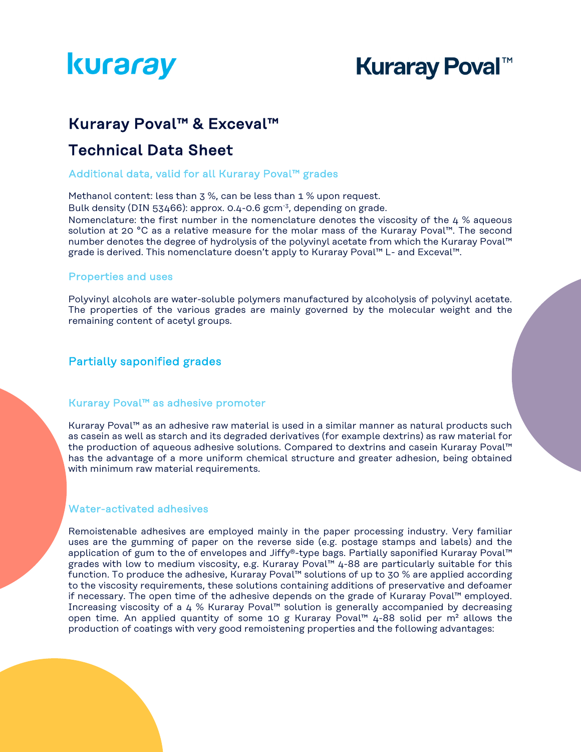# **Kuraray Poval™**

### Kuraray Poval™ & Exceval™

### Technical Data Sheet

#### Additional data, valid for all Kuraray Poval™ grades

Methanol content: less than 3 %, can be less than 1 % upon request.

Bulk density (DIN 53466): approx. 0.4-0.6 gcm<sup>-3</sup>, depending on grade. Nomenclature: the first number in the nomenclature denotes the viscosity of the  $4\%$  aqueous

solution at 20 °C as a relative measure for the molar mass of the Kuraray Poval™. The second number denotes the degree of hydrolysis of the polyvinyl acetate from which the Kuraray Poval™ grade is derived. This nomenclature doesn't apply to Kuraray Poval™ L- and Exceval™.

#### Properties and uses

Polyvinyl alcohols are water-soluble polymers manufactured by alcoholysis of polyvinyl acetate. The properties of the various grades are mainly governed by the molecular weight and the remaining content of acetyl groups.

#### Partially saponified grades

#### Kuraray Poval™ as adhesive promoter

Kuraray Poval™ as an adhesive raw material is used in a similar manner as natural products such as casein as well as starch and its degraded derivatives (for example dextrins) as raw material for the production of aqueous adhesive solutions. Compared to dextrins and casein Kuraray Poval™ has the advantage of a more uniform chemical structure and greater adhesion, being obtained with minimum raw material requirements.

#### Water-activated adhesives

Remoistenable adhesives are employed mainly in the paper processing industry. Very familiar uses are the gumming of paper on the reverse side (e.g. postage stamps and labels) and the application of gum to the of envelopes and Jiffy®-type bags. Partially saponified Kuraray Poval™ grades with low to medium viscosity, e.g. Kuraray Poval™ 4-88 are particularly suitable for this function. To produce the adhesive, Kuraray Poval™ solutions of up to 30 % are applied according to the viscosity requirements, these solutions containing additions of preservative and defoamer if necessary. The open time of the adhesive depends on the grade of Kuraray Poval™ employed. Increasing viscosity of a 4 % Kuraray Poval™ solution is generally accompanied by decreasing open time. An applied quantity of some 10 g Kuraray Poval™ 4-88 solid per m² allows the production of coatings with very good remoistening properties and the following advantages: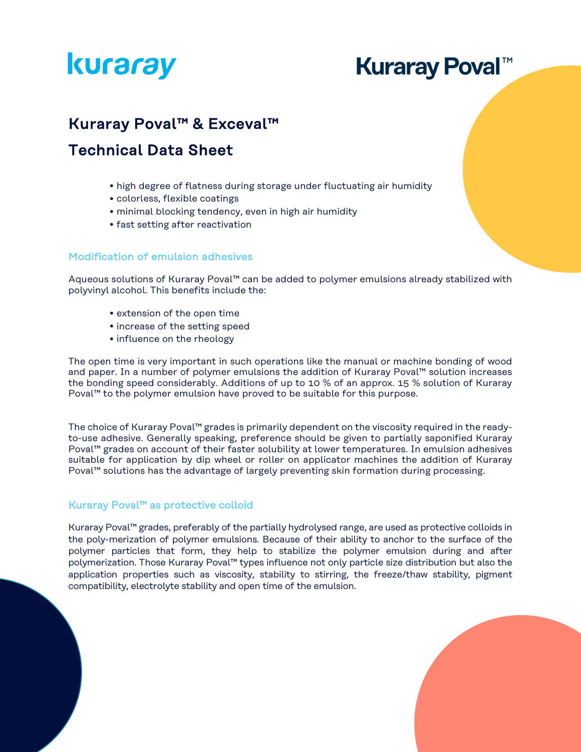# **Kuraray Poval™**

### Kuraray Poval™ & Exceval™

## Technical Data Sheet

- high degree of flatness during storage under fluctuating air humidity
- colorless, flexible coatings
- minimal blocking tendency, even in high air humidity
- fast setting after reactivation

#### Modification of emulsion adhesives

Aqueous solutions of Kuraray Poval™ can be added to polymer emulsions already stabilized with polyvinyl alcohol. This benefits include the:

- extension of the open time
- increase of the setting speed
- influence on the rheology

The open time is very important in such operations like the manual or machine bonding of wood and paper. In a number of polymer emulsions the addition of Kuraray Poval™ solution increases the bonding speed considerably. Additions of up to 10 % of an approx. 15 % solution of Kuraray Poval™ to the polymer emulsion have proved to be suitable for this purpose.

The choice of Kuraray Poval™ grades is primarily dependent on the viscosity required in the readyto-use adhesive. Generally speaking, preference should be given to partially saponified Kuraray Poval™ grades on account of their faster solubility at lower temperatures. In emulsion adhesives suitable for application by dip wheel or roller on applicator machines the addition of Kuraray Poval™ solutions has the advantage of largely preventing skin formation during processing.

#### Kuraray Poval™ as protective colloid

l.

Kuraray Poval™ grades, preferably of the partially hydrolysed range, are used as protective colloids in the poly-merization of polymer emulsions. Because of their ability to anchor to the surface of the polymer particles that form, they help to stabilize the polymer emulsion during and after polymerization. Those Kuraray Poval™ types influence not only particle size distribution but also the application properties such as viscosity, stability to stirring, the freeze/thaw stability, pigment compatibility, electrolyte stability and open time of the emulsion.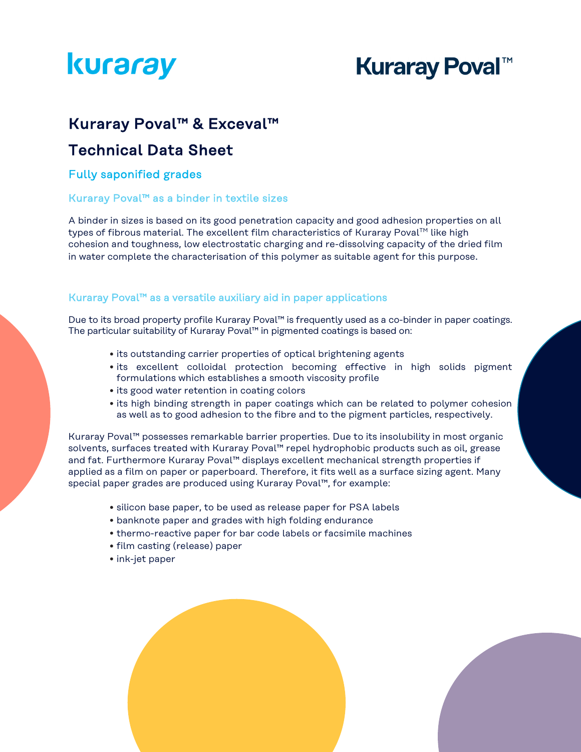# **Kuraray Poval™**

### Kuraray Poval™ & Exceval™

### Technical Data Sheet

#### Fully saponified grades

#### Kuraray Poval™ as a binder in textile sizes

A binder in sizes is based on its good penetration capacity and good adhesion properties on all types of fibrous material. The excellent film characteristics of Kuraray Poval™ like high cohesion and toughness, low electrostatic charging and re-dissolving capacity of the dried film in water complete the characterisation of this polymer as suitable agent for this purpose.

#### Kuraray Poval™ as a versatile auxiliary aid in paper applications

Due to its broad property profile Kuraray Poval™ is frequently used as a co-binder in paper coatings. The particular suitability of Kuraray Poval™ in pigmented coatings is based on:

- its outstanding carrier properties of optical brightening agents
- its excellent colloidal protection becoming effective in high solids pigment formulations which establishes a smooth viscosity profile
- its good water retention in coating colors
- its high binding strength in paper coatings which can be related to polymer cohesion as well as to good adhesion to the fibre and to the pigment particles, respectively.

Kuraray Poval™ possesses remarkable barrier properties. Due to its insolubility in most organic solvents, surfaces treated with Kuraray Poval™ repel hydrophobic products such as oil, grease and fat. Furthermore Kuraray Poval™ displays excellent mechanical strength properties if applied as a film on paper or paperboard. Therefore, it fits well as a surface sizing agent. Many special paper grades are produced using Kuraray Poval™, for example:

- silicon base paper, to be used as release paper for PSA labels
- banknote paper and grades with high folding endurance
- thermo-reactive paper for bar code labels or facsimile machines
- film casting (release) paper
- ink-jet paper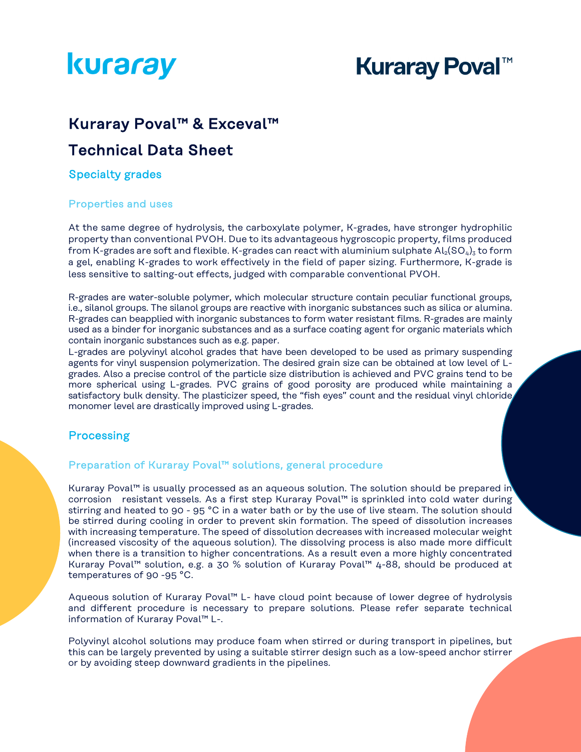# **Kuraray Poval™**

### Kuraray Poval™ & Exceval™

### Technical Data Sheet

#### Specialty grades

#### Properties and uses

At the same degree of hydrolysis, the carboxylate polymer, K-grades, have stronger hydrophilic property than conventional PVOH. Due to its advantageous hygroscopic property, films produced from K-grades are soft and flexible. K-grades can react with aluminium sulphate  $Al_2(SO_4)_3$  to form a gel, enabling K-grades to work effectively in the field of paper sizing. Furthermore, K-grade is less sensitive to salting-out effects, judged with comparable conventional PVOH.

R-grades are water-soluble polymer, which molecular structure contain peculiar functional groups, i.e., silanol groups. The silanol groups are reactive with inorganic substances such as silica or alumina. R-grades can beapplied with inorganic substances to form water resistant films. R-grades are mainly used as a binder for inorganic substances and as a surface coating agent for organic materials which contain inorganic substances such as e.g. paper.

L-grades are polyvinyl alcohol grades that have been developed to be used as primary suspending agents for vinyl suspension polymerization. The desired grain size can be obtained at low level of Lgrades. Also a precise control of the particle size distribution is achieved and PVC grains tend to be more spherical using L-grades. PVC grains of good porosity are produced while maintaining a satisfactory bulk density. The plasticizer speed, the "fish eyes" count and the residual vinyl chloride monomer level are drastically improved using L-grades.

#### **Processing**

#### Preparation of Kuraray Poval™ solutions, general procedure

Kuraray Poval™ is usually processed as an aqueous solution. The solution should be prepared in corrosion resistant vessels. As a first step Kuraray Poval™ is sprinkled into cold water during stirring and heated to 90 - 95 °C in a water bath or by the use of live steam. The solution should be stirred during cooling in order to prevent skin formation. The speed of dissolution increases with increasing temperature. The speed of dissolution decreases with increased molecular weight (increased viscosity of the aqueous solution). The dissolving process is also made more difficult when there is a transition to higher concentrations. As a result even a more highly concentrated Kuraray Poval™ solution, e.g. a 30 % solution of Kuraray Poval™ 4-88, should be produced at temperatures of 90 -95 °C.

Aqueous solution of Kuraray Poval™ L- have cloud point because of lower degree of hydrolysis and different procedure is necessary to prepare solutions. Please refer separate technical information of Kuraray Poval™ L-.

Polyvinyl alcohol solutions may produce foam when stirred or during transport in pipelines, but this can be largely prevented by using a suitable stirrer design such as a low-speed anchor stirrer or by avoiding steep downward gradients in the pipelines.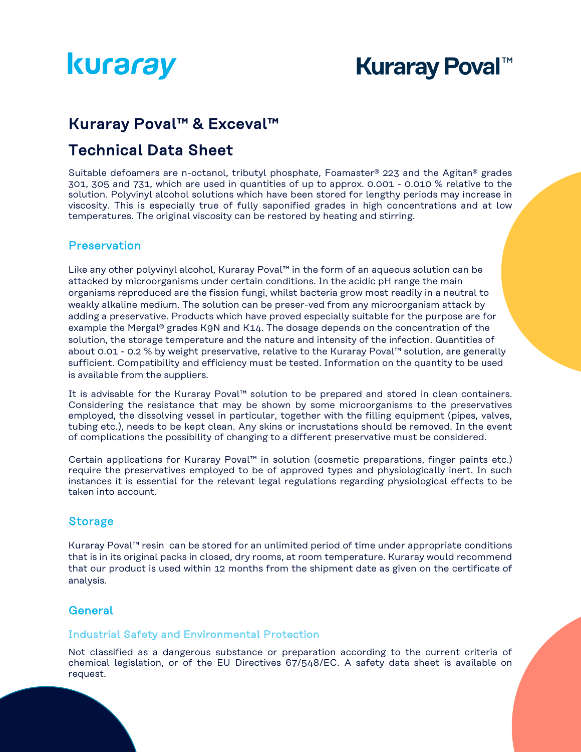# **Kuraray Poval™**

### Kuraray Poval™ & Exceval™

## Technical Data Sheet

Suitable defoamers are n-octanol, tributyl phosphate, Foamaster® 223 and the Agitan® grades 301, 305 and 731, which are used in quantities of up to approx. 0.001 - 0.010 % relative to the solution. Polyvinyl alcohol solutions which have been stored for lengthy periods may increase in viscosity. This is especially true of fully saponified grades in high concentrations and at low temperatures. The original viscosity can be restored by heating and stirring.

#### **Preservation**

Like any other polyvinyl alcohol, Kuraray Poval™ in the form of an aqueous solution can be attacked by microorganisms under certain conditions. In the acidic pH range the main organisms reproduced are the fission fungi, whilst bacteria grow most readily in a neutral to weakly alkaline medium. The solution can be preser-ved from any microorganism attack by adding a preservative. Products which have proved especially suitable for the purpose are for example the Mergal® grades K9N and K14. The dosage depends on the concentration of the solution, the storage temperature and the nature and intensity of the infection. Quantities of about 0.01 - 0.2 % by weight preservative, relative to the Kuraray Poval™ solution, are generally sufficient. Compatibility and efficiency must be tested. Information on the quantity to be used is available from the suppliers.

It is advisable for the Kuraray Poval™ solution to be prepared and stored in clean containers. Considering the resistance that may be shown by some microorganisms to the preservatives employed, the dissolving vessel in particular, together with the filling equipment (pipes, valves, tubing etc.), needs to be kept clean. Any skins or incrustations should be removed. In the event of complications the possibility of changing to a different preservative must be considered.

Certain applications for Kuraray Poval™ in solution (cosmetic preparations, finger paints etc.) require the preservatives employed to be of approved types and physiologically inert. In such instances it is essential for the relevant legal regulations regarding physiological effects to be taken into account.

#### Storage

Kuraray Poval™ resin can be stored for an unlimited period of time under appropriate conditions that is in its original packs in closed, dry rooms, at room temperature. Kuraray would recommend that our product is used within 12 months from the shipment date as given on the certificate of analysis.

#### **General**

#### Industrial Safety and Environmental Protection

Not classified as a dangerous substance or preparation according to the current criteria of chemical legislation, or of the EU Directives 67/548/EC. A safety data sheet is available on request.